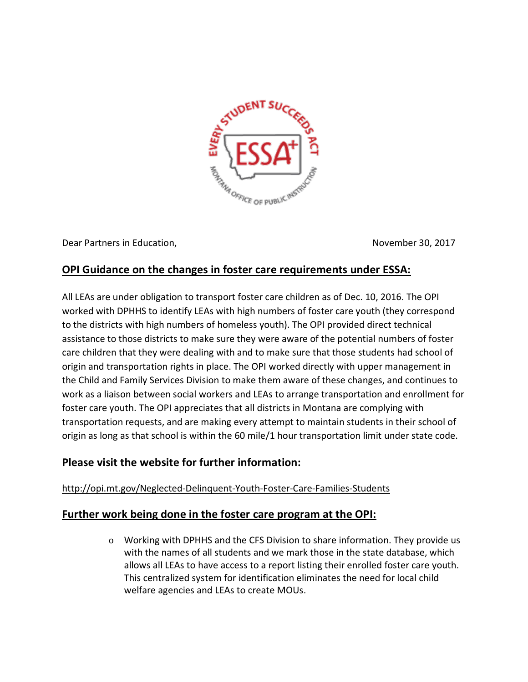

Dear Partners in Education, November 30, 2017

# **OPI Guidance on the changes in foster care requirements under ESSA:**

All LEAs are under obligation to transport foster care children as of Dec. 10, 2016. The OPI worked with DPHHS to identify LEAs with high numbers of foster care youth (they correspond to the districts with high numbers of homeless youth). The OPI provided direct technical assistance to those districts to make sure they were aware of the potential numbers of foster care children that they were dealing with and to make sure that those students had school of origin and transportation rights in place. The OPI worked directly with upper management in the Child and Family Services Division to make them aware of these changes, and continues to work as a liaison between social workers and LEAs to arrange transportation and enrollment for foster care youth. The OPI appreciates that all districts in Montana are complying with transportation requests, and are making every attempt to maintain students in their school of origin as long as that school is within the 60 mile/1 hour transportation limit under state code.

# **Please visit the website for further information:**

#### <http://opi.mt.gov/Neglected-Delinquent-Youth-Foster-Care-Families-Students>

## **Further work being done in the foster care program at the OPI:**

o Working with DPHHS and the CFS Division to share information. They provide us with the names of all students and we mark those in the state database, which allows all LEAs to have access to a report listing their enrolled foster care youth. This centralized system for identification eliminates the need for local child welfare agencies and LEAs to create MOUs.